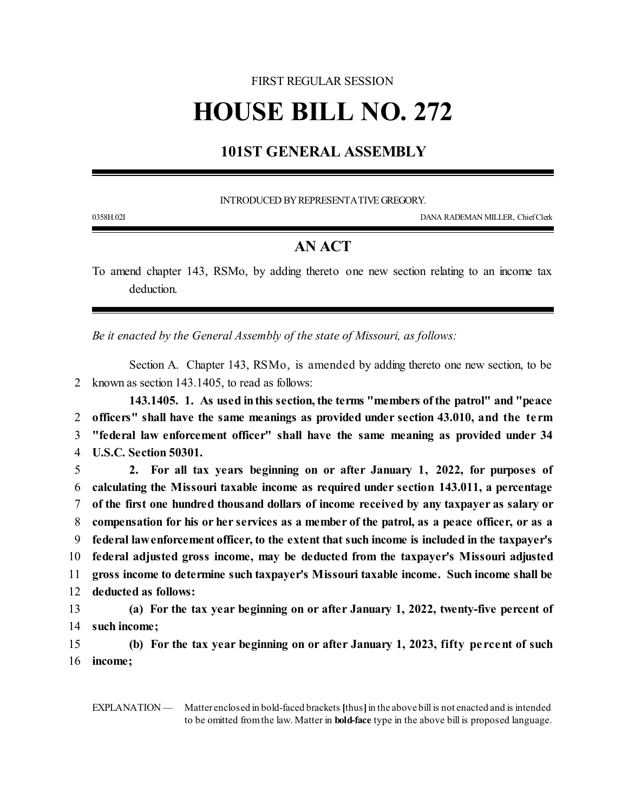## FIRST REGULAR SESSION

## **HOUSE BILL NO. 272**

## **101ST GENERAL ASSEMBLY**

INTRODUCED BY REPRESENTATIVE GREGORY.

0358H.02I DANA RADEMAN MILLER, ChiefClerk

## **AN ACT**

To amend chapter 143, RSMo, by adding thereto one new section relating to an income tax deduction.

*Be it enacted by the General Assembly of the state of Missouri, as follows:*

Section A. Chapter 143, RSMo, is amended by adding thereto one new section, to be 2 known as section 143.1405, to read as follows:

**143.1405. 1. As used inthis section, the terms "members ofthe patrol" and "peace officers" shall have the same meanings as provided under section 43.010, and the te rm "federal law enforcement officer" shall have the same meaning as provided under 34 U.S.C. Section 50301.**

 **2. For all tax years beginning on or after January 1, 2022, for purposes of calculating the Missouri taxable income as required under section 143.011, a percentage of the first one hundred thousand dollars of income received by any taxpayer as salary or compensation for his or her services as a member of the patrol, as a peace officer, or as a federal lawenforcement officer, to the extent that such income is included in the taxpayer's federal adjusted gross income, may be deducted from the taxpayer's Missouri adjusted gross income to determine such taxpayer's Missouri taxable income. Such income shall be deducted as follows: (a) For the tax year beginning on or after January 1, 2022, twenty-five percent of such income;**

15 **(b) For the tax year beginning on or after January 1, 2023, fifty pe rcent of such** 16 **income;**

EXPLANATION — Matter enclosed in bold-faced brackets [thus] in the above bill is not enacted and is intended to be omitted fromthe law. Matter in **bold-face** type in the above bill is proposed language.